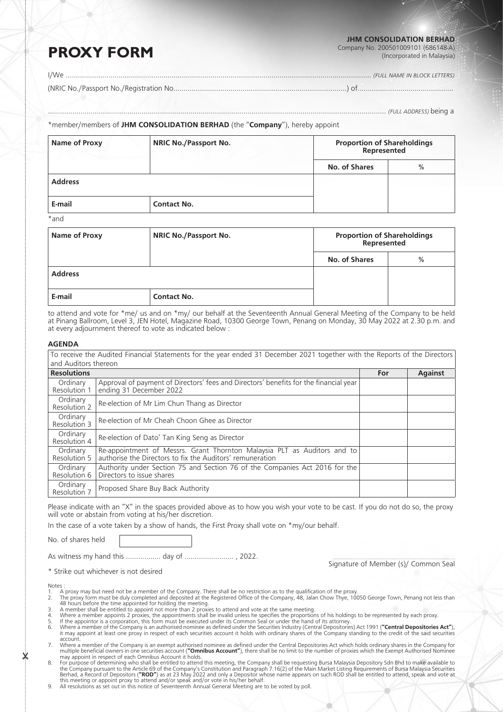#### **JHM CONSOLIDATION BERHAD**

Company No. 200501009101 (686148-A) (Incorporated in Malaysia)

# **PROXY FORM**

I/We ………………………………………………………………………………………………….………………………........... *(FULL NAME IN BLOCK LETTERS)*

(NRIC No./Passport No./Registration No..…...…………………………………………………………………..) of................................…………...

………………………………………………………………...……………….......................………………………….................... *(FULL ADDRESS)* being a

### \*member/members of **JHM CONSOLIDATION BERHAD** (the "**Company**"), hereby appoint

| <b>Name of Proxy</b> | <b>NRIC No./Passport No.</b> | <b>Proportion of Shareholdings<br/>Represented</b> |      |  |
|----------------------|------------------------------|----------------------------------------------------|------|--|
|                      |                              | No. of Shares                                      | $\%$ |  |
| <b>Address</b>       |                              |                                                    |      |  |
| E-mail               | <b>Contact No.</b>           |                                                    |      |  |
| $*$ and              |                              |                                                    |      |  |

\*and

| Name of Proxy  | <b>NRIC No./Passport No.</b> | <b>Proportion of Shareholdings<br/>Represented</b> |      |
|----------------|------------------------------|----------------------------------------------------|------|
|                |                              | No. of Shares                                      | $\%$ |
| <b>Address</b> |                              |                                                    |      |
| E-mail         | <b>Contact No.</b>           |                                                    |      |

to attend and vote for \*me/ us and on \*my/ our behalf at the Seventeenth Annual General Meeting of the Company to be held at Pinang Ballroom, Level 3, JEN Hotel, Magazine Road, 10300 George Town, Penang on Monday, 30 May 2022 at 2.30 p.m. and at every adjournment thereof to vote as indicated below :

### **AGENDA**

| To receive the Audited Financial Statements for the year ended 31 December 2021 together with the Reports of the Directors |                                                                                                                                       |     |                |  |
|----------------------------------------------------------------------------------------------------------------------------|---------------------------------------------------------------------------------------------------------------------------------------|-----|----------------|--|
| and Auditors thereon                                                                                                       |                                                                                                                                       |     |                |  |
| <b>Resolutions</b>                                                                                                         |                                                                                                                                       | For | <b>Against</b> |  |
| Ordinary<br>Resolution 1                                                                                                   | Approval of payment of Directors' fees and Directors' benefits for the financial year<br>ending 31 December 2022                      |     |                |  |
| Ordinary<br>Resolution 2                                                                                                   | Re-election of Mr Lim Chun Thang as Director                                                                                          |     |                |  |
| Ordinary<br>Resolution 3                                                                                                   | Re-election of Mr Cheah Choon Ghee as Director                                                                                        |     |                |  |
| Ordinary<br>Resolution 4                                                                                                   | Re-election of Dato' Tan King Seng as Director                                                                                        |     |                |  |
| Ordinary<br>Resolution 5                                                                                                   | Re-appointment of Messrs. Grant Thornton Malaysia PLT as Auditors and to<br>authorise the Directors to fix the Auditors' remuneration |     |                |  |
| Ordinary<br>Resolution 6                                                                                                   | Authority under Section 75 and Section 76 of the Companies Act 2016 for the<br>Directors to issue shares                              |     |                |  |
| Ordinary<br>Resolution 7                                                                                                   | Proposed Share Buy Back Authority                                                                                                     |     |                |  |

Please indicate with an "X" in the spaces provided above as to how you wish your vote to be cast. If you do not do so, the proxy will vote or abstain from voting at his/her discretion.

In the case of a vote taken by a show of hands, the First Proxy shall vote on \*my/our behalf.

No. of shares held

As witness my hand this …………….. day of …………………… , 2022.

\* Strike out whichever is not desired

Signature of Member (s)/ Common Seal

Notes :

- 
- 
- 
- 
- A proxy may but need not be a member of the Company. There shall be no restriction as to the qualification of the proxy.<br>
2. The proxy form must be duly completed and deposited at the Registered Office of the Company, 48,
- multiple beneficial owners in one securities account (**"Omnibus Account"**), there shall be no limit to the number of proxies which the Exempt Authorised Nominee<br>may appoint in respect of each Omnibus Account it holds.
- 8. For purpose of determining who shall be entitled to attend this meeting, the Company shall be requesting Bursa Malaysia Depository Sdn Bhd to make available to the Company pursuant to the Article 69 of the Company's Con